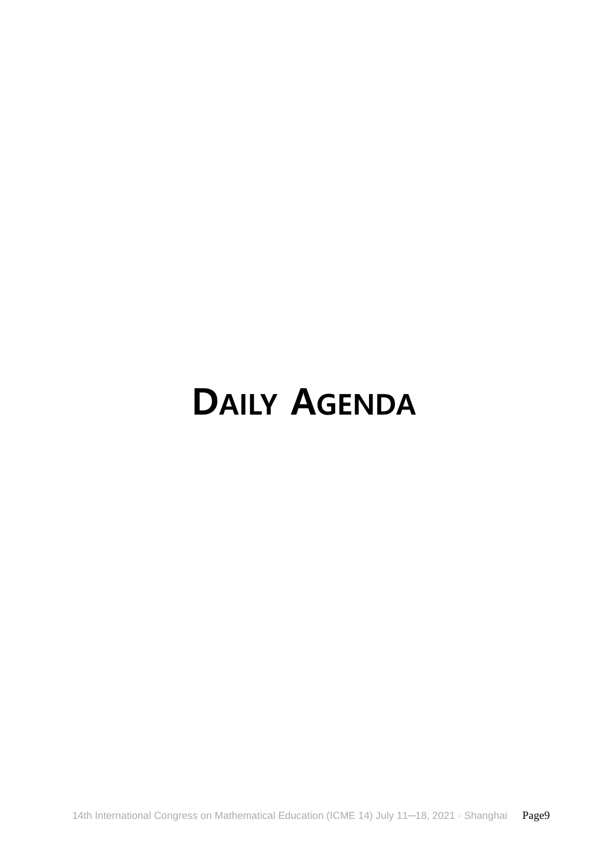# **DAILY AGENDA**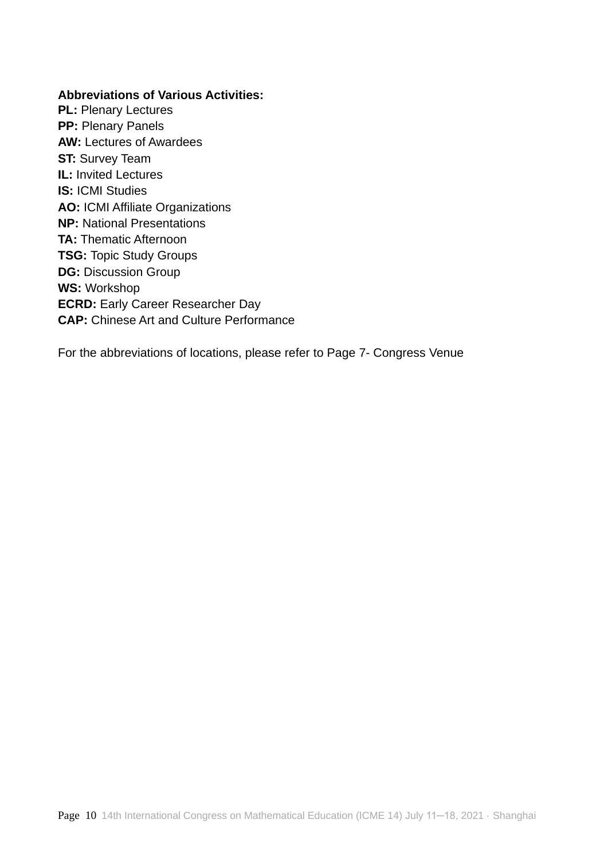#### **Abbreviations of Various Activities:**

**PL: Plenary Lectures PP:** Plenary Panels **AW:** Lectures of Awardees **ST:** Survey Team **IL:** Invited Lectures **IS:** ICMI Studies **AO:** ICMI Affiliate Organizations **NP:** National Presentations **TA:** Thematic Afternoon **TSG:** Topic Study Groups **DG:** Discussion Group **WS:** Workshop **ECRD:** Early Career Researcher Day **CAP:** Chinese Art and Culture Performance

For the abbreviations of locations, please refer to Page 7- Congress Venue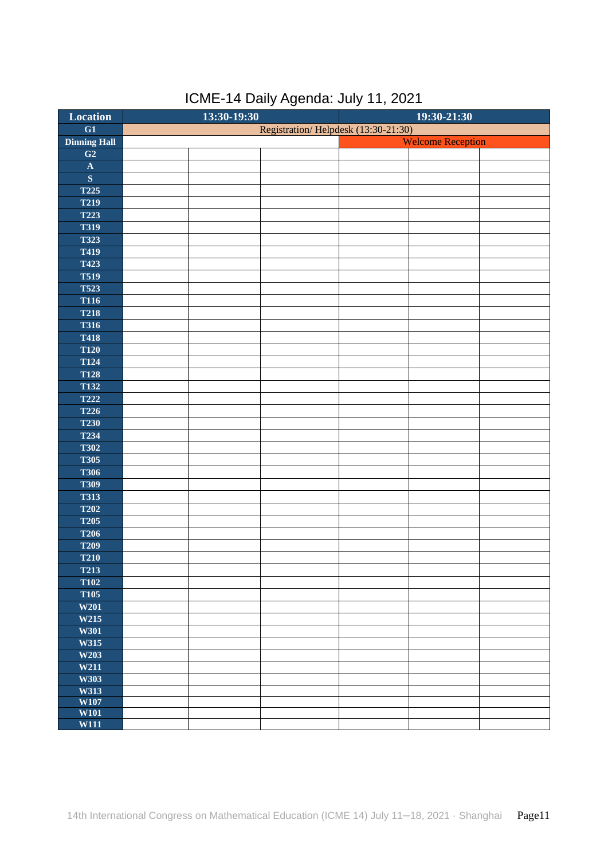| Location                | $13:30 - 19:30$<br>19:30-21:30 |  |                                     |                          |  |
|-------------------------|--------------------------------|--|-------------------------------------|--------------------------|--|
| $\overline{G1}$         |                                |  | Registration/Helpdesk (13:30-21:30) |                          |  |
| <b>Dinning Hall</b>     |                                |  |                                     | <b>Welcome Reception</b> |  |
| G2                      |                                |  |                                     |                          |  |
| $\mathbf A$             |                                |  |                                     |                          |  |
| $\overline{\mathbf{S}}$ |                                |  |                                     |                          |  |
| <b>T225</b>             |                                |  |                                     |                          |  |
| T219                    |                                |  |                                     |                          |  |
| <b>T223</b>             |                                |  |                                     |                          |  |
| <b>T319</b>             |                                |  |                                     |                          |  |
| <b>T323</b>             |                                |  |                                     |                          |  |
| T419                    |                                |  |                                     |                          |  |
| <b>T423</b>             |                                |  |                                     |                          |  |
| <b>T519</b>             |                                |  |                                     |                          |  |
| <b>T523</b>             |                                |  |                                     |                          |  |
| <b>T116</b>             |                                |  |                                     |                          |  |
| <b>T218</b>             |                                |  |                                     |                          |  |
| <b>T316</b>             |                                |  |                                     |                          |  |
| <b>T418</b>             |                                |  |                                     |                          |  |
| <b>T120</b>             |                                |  |                                     |                          |  |
| <b>T124</b>             |                                |  |                                     |                          |  |
| <b>T128</b>             |                                |  |                                     |                          |  |
| <b>T132</b>             |                                |  |                                     |                          |  |
| <b>T222</b>             |                                |  |                                     |                          |  |
| <b>T226</b>             |                                |  |                                     |                          |  |
| <b>T230</b>             |                                |  |                                     |                          |  |
| T234                    |                                |  |                                     |                          |  |
| <b>T302</b>             |                                |  |                                     |                          |  |
| <b>T305</b>             |                                |  |                                     |                          |  |
| <b>T306</b>             |                                |  |                                     |                          |  |
| <b>T309</b>             |                                |  |                                     |                          |  |
| <b>T313</b>             |                                |  |                                     |                          |  |
| <b>T202</b>             |                                |  |                                     |                          |  |
| <b>T205</b>             |                                |  |                                     |                          |  |
| <b>T206</b>             |                                |  |                                     |                          |  |
| <b>T209</b>             |                                |  |                                     |                          |  |
| <b>T210</b>             |                                |  |                                     |                          |  |
| <b>T213</b>             |                                |  |                                     |                          |  |
| <b>T102</b>             |                                |  |                                     |                          |  |
| <b>T105</b>             |                                |  |                                     |                          |  |
| W201                    |                                |  |                                     |                          |  |
| W215                    |                                |  |                                     |                          |  |
| W301                    |                                |  |                                     |                          |  |
| W315                    |                                |  |                                     |                          |  |
| W203                    |                                |  |                                     |                          |  |
| W211                    |                                |  |                                     |                          |  |
| W303                    |                                |  |                                     |                          |  |
| W313                    |                                |  |                                     |                          |  |
| W107                    |                                |  |                                     |                          |  |
| W101<br><b>W111</b>     |                                |  |                                     |                          |  |
|                         |                                |  |                                     |                          |  |

# ICME-14 Daily Agenda: July 11, 2021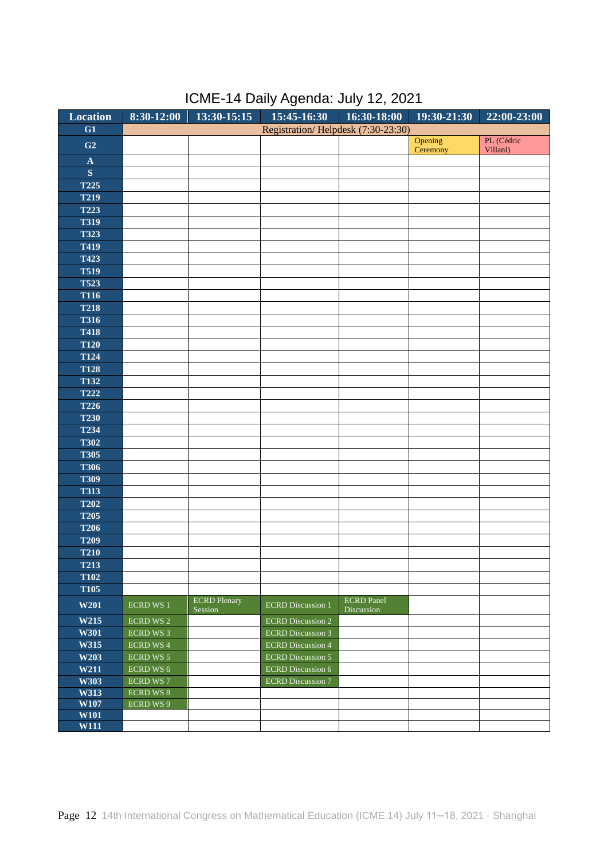| Location                | $8:30-12:00$     | $13:30-15:15$       | $15:45 - 16:30$ $16:30 - 18:00$    |                   | $\overline{19:30-21:30}$ | $22:00 - 23:00$        |
|-------------------------|------------------|---------------------|------------------------------------|-------------------|--------------------------|------------------------|
| G1                      |                  |                     | Registration/Helpdesk (7:30-23:30) |                   |                          |                        |
| G <sub>2</sub>          |                  |                     |                                    |                   | Opening<br>Ceremony      | PL (Cédric<br>Villani) |
| $\mathbf A$             |                  |                     |                                    |                   |                          |                        |
| $\overline{\mathbf{S}}$ |                  |                     |                                    |                   |                          |                        |
| <b>T225</b>             |                  |                     |                                    |                   |                          |                        |
| <b>T219</b>             |                  |                     |                                    |                   |                          |                        |
| <b>T223</b>             |                  |                     |                                    |                   |                          |                        |
| <b>T319</b>             |                  |                     |                                    |                   |                          |                        |
|                         |                  |                     |                                    |                   |                          |                        |
| <b>T323</b>             |                  |                     |                                    |                   |                          |                        |
| T419                    |                  |                     |                                    |                   |                          |                        |
| T423                    |                  |                     |                                    |                   |                          |                        |
| <b>T519</b>             |                  |                     |                                    |                   |                          |                        |
| <b>T523</b>             |                  |                     |                                    |                   |                          |                        |
| <b>T116</b>             |                  |                     |                                    |                   |                          |                        |
| <b>T218</b>             |                  |                     |                                    |                   |                          |                        |
| <b>T316</b>             |                  |                     |                                    |                   |                          |                        |
| <b>T418</b>             |                  |                     |                                    |                   |                          |                        |
| <b>T120</b>             |                  |                     |                                    |                   |                          |                        |
| <b>T124</b>             |                  |                     |                                    |                   |                          |                        |
| <b>T128</b>             |                  |                     |                                    |                   |                          |                        |
| <b>T132</b>             |                  |                     |                                    |                   |                          |                        |
| <b>T222</b>             |                  |                     |                                    |                   |                          |                        |
| <b>T226</b>             |                  |                     |                                    |                   |                          |                        |
| <b>T230</b>             |                  |                     |                                    |                   |                          |                        |
| <b>T234</b>             |                  |                     |                                    |                   |                          |                        |
| <b>T302</b>             |                  |                     |                                    |                   |                          |                        |
| <b>T305</b>             |                  |                     |                                    |                   |                          |                        |
| <b>T306</b>             |                  |                     |                                    |                   |                          |                        |
| <b>T309</b>             |                  |                     |                                    |                   |                          |                        |
| <b>T313</b>             |                  |                     |                                    |                   |                          |                        |
| <b>T202</b>             |                  |                     |                                    |                   |                          |                        |
| <b>T205</b>             |                  |                     |                                    |                   |                          |                        |
| <b>T206</b>             |                  |                     |                                    |                   |                          |                        |
| <b>T209</b>             |                  |                     |                                    |                   |                          |                        |
| <b>T210</b>             |                  |                     |                                    |                   |                          |                        |
|                         |                  |                     |                                    |                   |                          |                        |
| <b>T213</b>             |                  |                     |                                    |                   |                          |                        |
| <b>T102</b>             |                  |                     |                                    |                   |                          |                        |
| <b>T105</b>             |                  | <b>ECRD</b> Plenary |                                    | <b>ECRD</b> Panel |                          |                        |
| W201                    | <b>ECRD WS 1</b> | Session             | <b>ECRD</b> Discussion 1           | Discussion        |                          |                        |
| W215                    | <b>ECRD WS 2</b> |                     | <b>ECRD</b> Discussion 2           |                   |                          |                        |
| W301                    | <b>ECRD WS 3</b> |                     | <b>ECRD</b> Discussion 3           |                   |                          |                        |
| W315                    | <b>ECRD WS 4</b> |                     | <b>ECRD</b> Discussion 4           |                   |                          |                        |
| W203                    | <b>ECRD WS 5</b> |                     | <b>ECRD</b> Discussion 5           |                   |                          |                        |
| W211                    | <b>ECRD WS 6</b> |                     | <b>ECRD</b> Discussion 6           |                   |                          |                        |
| W303                    | <b>ECRD WS 7</b> |                     | <b>ECRD</b> Discussion 7           |                   |                          |                        |
| W313                    | <b>ECRD WS 8</b> |                     |                                    |                   |                          |                        |
| W107                    | ECRD WS 9        |                     |                                    |                   |                          |                        |
| W101                    |                  |                     |                                    |                   |                          |                        |
| W111                    |                  |                     |                                    |                   |                          |                        |

## ICME-14 Daily Agenda: July 12, 2021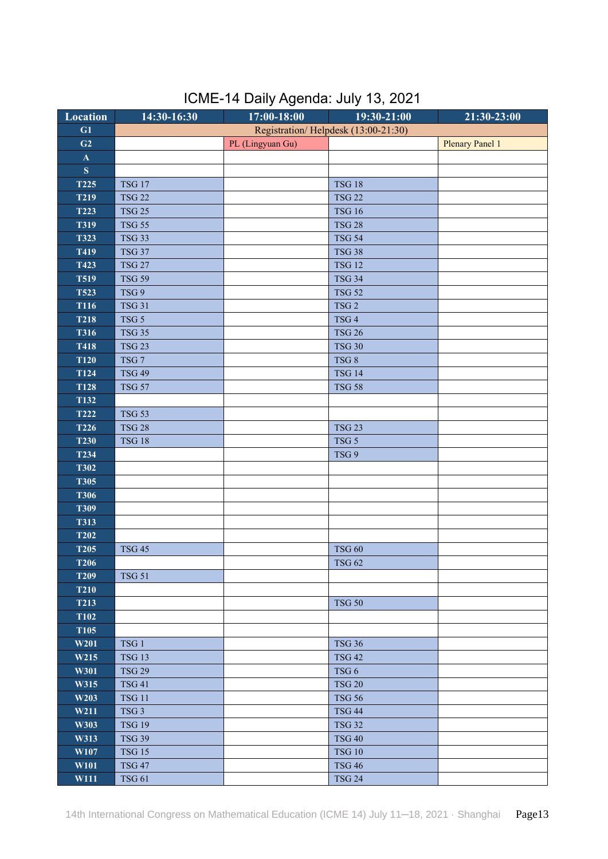| ICME-14 Daily Agenda: July 13, 2021 |  |  |  |
|-------------------------------------|--|--|--|
|-------------------------------------|--|--|--|

| <b>Location</b> | 14:30-16:30      | 17:00-18:00      | 19:30-21:00                         | $21:30 - 23:00$        |
|-----------------|------------------|------------------|-------------------------------------|------------------------|
| G1              |                  |                  | Registration/Helpdesk (13:00-21:30) |                        |
| G2              |                  | PL (Lingyuan Gu) |                                     | <b>Plenary Panel 1</b> |
| $\mathbf{A}$    |                  |                  |                                     |                        |
| ${\bf S}$       |                  |                  |                                     |                        |
| <b>T225</b>     | <b>TSG 17</b>    |                  | <b>TSG 18</b>                       |                        |
| <b>T219</b>     | <b>TSG 22</b>    |                  | <b>TSG 22</b>                       |                        |
| <b>T223</b>     | <b>TSG 25</b>    |                  | <b>TSG 16</b>                       |                        |
| <b>T319</b>     | <b>TSG 55</b>    |                  | <b>TSG 28</b>                       |                        |
| <b>T323</b>     | <b>TSG 33</b>    |                  | <b>TSG 54</b>                       |                        |
| T419            | <b>TSG 37</b>    |                  | <b>TSG 38</b>                       |                        |
| T423            | <b>TSG 27</b>    |                  | <b>TSG 12</b>                       |                        |
| <b>T519</b>     | <b>TSG 59</b>    |                  | <b>TSG 34</b>                       |                        |
| <b>T523</b>     | TSG 9            |                  | <b>TSG 52</b>                       |                        |
| <b>T116</b>     | <b>TSG 31</b>    |                  | TSG <sub>2</sub>                    |                        |
| <b>T218</b>     | TSG 5            |                  | TSG <sub>4</sub>                    |                        |
| <b>T316</b>     | <b>TSG 35</b>    |                  | <b>TSG 26</b>                       |                        |
| <b>T418</b>     | <b>TSG 23</b>    |                  | <b>TSG 30</b>                       |                        |
| <b>T120</b>     | $TSG$ $7$        |                  | TSG 8                               |                        |
| <b>T124</b>     | <b>TSG 49</b>    |                  | <b>TSG 14</b>                       |                        |
| <b>T128</b>     | <b>TSG 57</b>    |                  | <b>TSG 58</b>                       |                        |
| T132            |                  |                  |                                     |                        |
| <b>T222</b>     | <b>TSG 53</b>    |                  |                                     |                        |
| T226            | <b>TSG 28</b>    |                  | <b>TSG 23</b>                       |                        |
| <b>T230</b>     | <b>TSG 18</b>    |                  | TSG <sub>5</sub>                    |                        |
| T234            |                  |                  | TSG 9                               |                        |
| <b>T302</b>     |                  |                  |                                     |                        |
| <b>T305</b>     |                  |                  |                                     |                        |
| <b>T306</b>     |                  |                  |                                     |                        |
| <b>T309</b>     |                  |                  |                                     |                        |
| <b>T313</b>     |                  |                  |                                     |                        |
| <b>T202</b>     |                  |                  |                                     |                        |
| <b>T205</b>     | <b>TSG 45</b>    |                  | <b>TSG 60</b>                       |                        |
| <b>T206</b>     |                  |                  | <b>TSG 62</b>                       |                        |
| <b>T209</b>     | <b>TSG 51</b>    |                  |                                     |                        |
| <b>T210</b>     |                  |                  |                                     |                        |
| <b>T213</b>     |                  |                  | <b>TSG 50</b>                       |                        |
| <b>T102</b>     |                  |                  |                                     |                        |
| <b>T105</b>     |                  |                  |                                     |                        |
| W201            | TSG <sub>1</sub> |                  | <b>TSG 36</b>                       |                        |
| W215            | <b>TSG 13</b>    |                  | <b>TSG 42</b>                       |                        |
| W301            | <b>TSG 29</b>    |                  | TSG <sub>6</sub>                    |                        |
| W315            | <b>TSG 41</b>    |                  | <b>TSG 20</b>                       |                        |
| W203            | <b>TSG 11</b>    |                  | <b>TSG 56</b>                       |                        |
| W211            | TSG <sub>3</sub> |                  | <b>TSG 44</b>                       |                        |
| W303            | <b>TSG 19</b>    |                  | <b>TSG 32</b>                       |                        |
| W313            | <b>TSG 39</b>    |                  | <b>TSG 40</b>                       |                        |
| W107            | <b>TSG 15</b>    |                  | <b>TSG 10</b>                       |                        |
| W101            | <b>TSG 47</b>    |                  | <b>TSG 46</b>                       |                        |
| W111            | <b>TSG 61</b>    |                  | <b>TSG 24</b>                       |                        |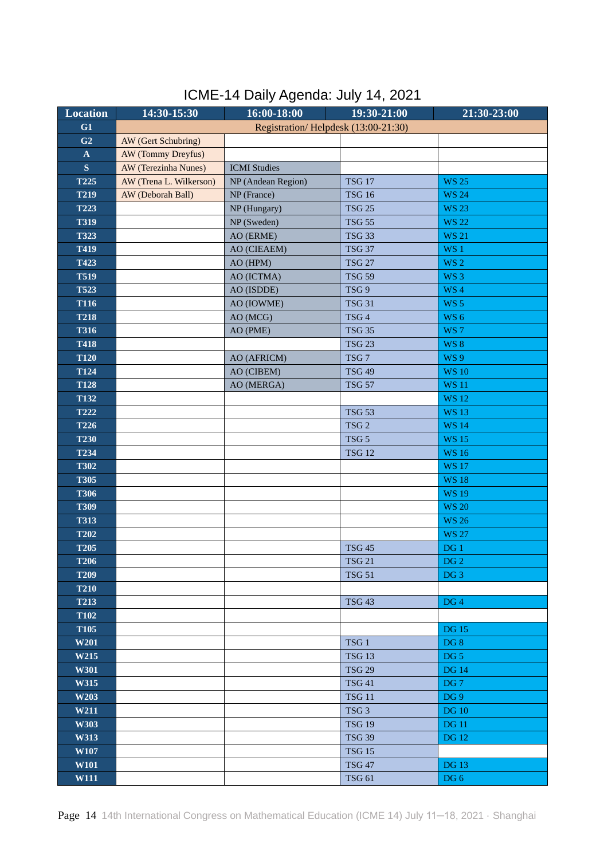| ICME-14 Daily Agenda: July 14, 2021 |  |  |  |  |
|-------------------------------------|--|--|--|--|
|-------------------------------------|--|--|--|--|

| <b>Location</b> | 14:30-15:30             | 16:00-18:00                         | 19:30-21:00      | 21:30-23:00     |
|-----------------|-------------------------|-------------------------------------|------------------|-----------------|
| G1              |                         | Registration/Helpdesk (13:00-21:30) |                  |                 |
| G <sub>2</sub>  | AW (Gert Schubring)     |                                     |                  |                 |
| $\mathbf{A}$    | AW (Tommy Dreyfus)      |                                     |                  |                 |
| S               | AW (Terezinha Nunes)    | <b>ICMI</b> Studies                 |                  |                 |
| T225            | AW (Trena L. Wilkerson) | NP (Andean Region)                  | <b>TSG 17</b>    | <b>WS 25</b>    |
| <b>T219</b>     | AW (Deborah Ball)       | NP (France)                         | <b>TSG 16</b>    | <b>WS 24</b>    |
| T223            |                         | NP (Hungary)                        | <b>TSG 25</b>    | <b>WS 23</b>    |
| <b>T319</b>     |                         | NP (Sweden)                         | <b>TSG 55</b>    | <b>WS 22</b>    |
| <b>T323</b>     |                         | AO (ERME)                           | <b>TSG 33</b>    | <b>WS 21</b>    |
| T419            |                         | AO (CIEAEM)                         | <b>TSG 37</b>    | WS 1            |
| T423            |                         | AO (HPM)                            | <b>TSG 27</b>    | <b>WS 2</b>     |
| <b>T519</b>     |                         | AO (ICTMA)                          | <b>TSG 59</b>    | WS <sub>3</sub> |
| <b>T523</b>     |                         | AO (ISDDE)                          | TSG 9            | WS <sub>4</sub> |
| <b>T116</b>     |                         | AO (IOWME)                          | <b>TSG 31</b>    | WS <sub>5</sub> |
| <b>T218</b>     |                         | AO (MCG)                            | TSG <sub>4</sub> | WS <sub>6</sub> |
| <b>T316</b>     |                         | AO (PME)                            | <b>TSG 35</b>    | WS <sub>7</sub> |
| <b>T418</b>     |                         |                                     | <b>TSG 23</b>    | <b>WS 8</b>     |
| <b>T120</b>     |                         | AO (AFRICM)                         | TSG <sub>7</sub> | <b>WS9</b>      |
| <b>T124</b>     |                         | AO (CIBEM)                          | <b>TSG 49</b>    | <b>WS 10</b>    |
| <b>T128</b>     |                         | AO (MERGA)                          | <b>TSG 57</b>    | <b>WS 11</b>    |
| <b>T132</b>     |                         |                                     |                  | <b>WS 12</b>    |
| <b>T222</b>     |                         |                                     | <b>TSG 53</b>    | <b>WS 13</b>    |
| <b>T226</b>     |                         |                                     | TSG <sub>2</sub> | <b>WS 14</b>    |
| <b>T230</b>     |                         |                                     | TSG <sub>5</sub> | <b>WS15</b>     |
| T234            |                         |                                     | <b>TSG 12</b>    | <b>WS16</b>     |
| <b>T302</b>     |                         |                                     |                  | <b>WS 17</b>    |
| <b>T305</b>     |                         |                                     |                  | <b>WS 18</b>    |
| <b>T306</b>     |                         |                                     |                  | <b>WS 19</b>    |
| <b>T309</b>     |                         |                                     |                  | <b>WS 20</b>    |
| <b>T313</b>     |                         |                                     |                  | <b>WS 26</b>    |
| <b>T202</b>     |                         |                                     |                  | <b>WS 27</b>    |
| <b>T205</b>     |                         |                                     | <b>TSG 45</b>    | DG <sub>1</sub> |
| <b>T206</b>     |                         |                                     | <b>TSG 21</b>    | $DG2$           |
| <b>T209</b>     |                         |                                     | <b>TSG 51</b>    | DG <sub>3</sub> |
| <b>T210</b>     |                         |                                     |                  |                 |
| <b>T213</b>     |                         |                                     | <b>TSG 43</b>    | DG <sub>4</sub> |
| <b>T102</b>     |                         |                                     |                  |                 |
| <b>T105</b>     |                         |                                     |                  | <b>DG</b> 15    |
| W201            |                         |                                     | TSG <sub>1</sub> | DG8             |
| W215            |                         |                                     | <b>TSG 13</b>    | DG <sub>5</sub> |
| W301            |                         |                                     | <b>TSG 29</b>    | <b>DG 14</b>    |
| W315            |                         |                                     | <b>TSG 41</b>    | DG <sub>7</sub> |
| W203            |                         |                                     | <b>TSG 11</b>    | DG <sub>9</sub> |
| W211            |                         |                                     | TSG <sub>3</sub> | <b>DG 10</b>    |
| W303            |                         |                                     | <b>TSG 19</b>    | <b>DG</b> 11    |
| W313            |                         |                                     | <b>TSG 39</b>    | <b>DG</b> 12    |
| W107            |                         |                                     | <b>TSG 15</b>    |                 |
| W101            |                         |                                     | <b>TSG 47</b>    | <b>DG 13</b>    |
| W111            |                         |                                     | <b>TSG 61</b>    | DG 6            |

Page 14 14th International Congress on Mathematical Education (ICME 14) July 11-18, 2021 · Shanghai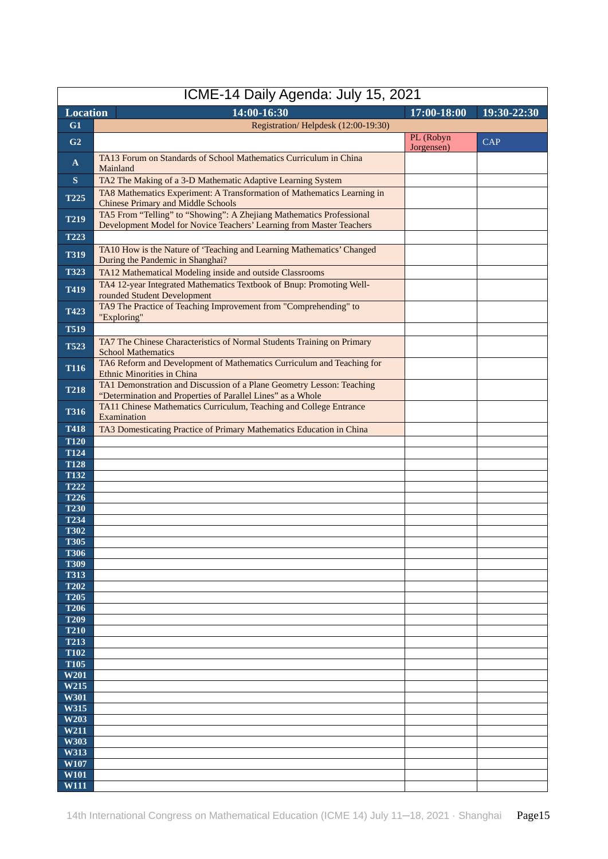| ICME-14 Daily Agenda: July 15, 2021 |                                                                                                                                              |                         |             |  |  |  |  |
|-------------------------------------|----------------------------------------------------------------------------------------------------------------------------------------------|-------------------------|-------------|--|--|--|--|
| <b>Location</b>                     | $14:00 - 16:30$                                                                                                                              | 17:00-18:00             | 19:30-22:30 |  |  |  |  |
| G1                                  | Registration/Helpdesk (12:00-19:30)                                                                                                          |                         |             |  |  |  |  |
| G <sub>2</sub>                      |                                                                                                                                              | PL (Robyn<br>Jorgensen) | <b>CAP</b>  |  |  |  |  |
| $\mathbf{A}$                        | TA13 Forum on Standards of School Mathematics Curriculum in China<br>Mainland                                                                |                         |             |  |  |  |  |
| $\mathbf{s}$                        | TA2 The Making of a 3-D Mathematic Adaptive Learning System                                                                                  |                         |             |  |  |  |  |
| T225                                | TA8 Mathematics Experiment: A Transformation of Mathematics Learning in<br><b>Chinese Primary and Middle Schools</b>                         |                         |             |  |  |  |  |
| <b>T219</b>                         | TA5 From "Telling" to "Showing": A Zhejiang Mathematics Professional<br>Development Model for Novice Teachers' Learning from Master Teachers |                         |             |  |  |  |  |
| T223                                |                                                                                                                                              |                         |             |  |  |  |  |
| <b>T319</b>                         | TA10 How is the Nature of 'Teaching and Learning Mathematics' Changed<br>During the Pandemic in Shanghai?                                    |                         |             |  |  |  |  |
| T323                                | TA12 Mathematical Modeling inside and outside Classrooms                                                                                     |                         |             |  |  |  |  |
| T419                                | TA4 12-year Integrated Mathematics Textbook of Bnup: Promoting Well-<br>rounded Student Development                                          |                         |             |  |  |  |  |
| T423                                | TA9 The Practice of Teaching Improvement from "Comprehending" to<br>"Exploring"                                                              |                         |             |  |  |  |  |
| <b>T519</b>                         |                                                                                                                                              |                         |             |  |  |  |  |
| <b>T523</b>                         | TA7 The Chinese Characteristics of Normal Students Training on Primary<br><b>School Mathematics</b>                                          |                         |             |  |  |  |  |
| <b>T116</b>                         | TA6 Reform and Development of Mathematics Curriculum and Teaching for<br><b>Ethnic Minorities in China</b>                                   |                         |             |  |  |  |  |
| <b>T218</b>                         | TA1 Demonstration and Discussion of a Plane Geometry Lesson: Teaching<br>"Determination and Properties of Parallel Lines" as a Whole         |                         |             |  |  |  |  |
| <b>T316</b>                         | TA11 Chinese Mathematics Curriculum, Teaching and College Entrance<br>Examination                                                            |                         |             |  |  |  |  |
| <b>T418</b>                         | TA3 Domesticating Practice of Primary Mathematics Education in China                                                                         |                         |             |  |  |  |  |
| <b>T120</b>                         |                                                                                                                                              |                         |             |  |  |  |  |
| <b>T124</b><br><b>T128</b>          |                                                                                                                                              |                         |             |  |  |  |  |
| <b>T132</b>                         |                                                                                                                                              |                         |             |  |  |  |  |
| <b>T222</b>                         |                                                                                                                                              |                         |             |  |  |  |  |
| <b>T226</b>                         |                                                                                                                                              |                         |             |  |  |  |  |
| <b>T230</b><br>T234                 |                                                                                                                                              |                         |             |  |  |  |  |
| <b>T302</b>                         |                                                                                                                                              |                         |             |  |  |  |  |
| <b>T305</b>                         |                                                                                                                                              |                         |             |  |  |  |  |
| <b>T306</b>                         |                                                                                                                                              |                         |             |  |  |  |  |
| <b>T309</b><br><b>T313</b>          |                                                                                                                                              |                         |             |  |  |  |  |
| <b>T202</b>                         |                                                                                                                                              |                         |             |  |  |  |  |
| <b>T205</b>                         |                                                                                                                                              |                         |             |  |  |  |  |
| <b>T206</b>                         |                                                                                                                                              |                         |             |  |  |  |  |
| <b>T209</b><br><b>T210</b>          |                                                                                                                                              |                         |             |  |  |  |  |
| <b>T213</b>                         |                                                                                                                                              |                         |             |  |  |  |  |
| <b>T102</b>                         |                                                                                                                                              |                         |             |  |  |  |  |
| <b>T105</b>                         |                                                                                                                                              |                         |             |  |  |  |  |
| W201<br>W215                        |                                                                                                                                              |                         |             |  |  |  |  |
| W301                                |                                                                                                                                              |                         |             |  |  |  |  |
| W315                                |                                                                                                                                              |                         |             |  |  |  |  |
| W203                                |                                                                                                                                              |                         |             |  |  |  |  |
| W211<br>W303                        |                                                                                                                                              |                         |             |  |  |  |  |
| W313                                |                                                                                                                                              |                         |             |  |  |  |  |
| W107                                |                                                                                                                                              |                         |             |  |  |  |  |
| <b>W101</b>                         |                                                                                                                                              |                         |             |  |  |  |  |
| <b>W111</b>                         |                                                                                                                                              |                         |             |  |  |  |  |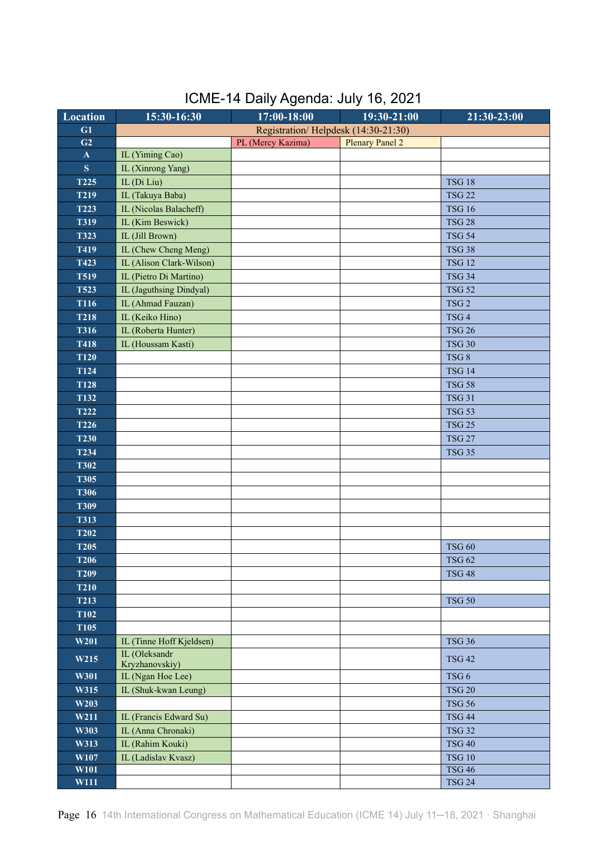| <b>Location</b> | 15:30-16:30              | 17:00-18:00                         | 19:30-21:00            | 21:30-23:00      |
|-----------------|--------------------------|-------------------------------------|------------------------|------------------|
| G1              |                          | Registration/Helpdesk (14:30-21:30) |                        |                  |
| G2              |                          | PL (Mercy Kazima)                   | <b>Plenary Panel 2</b> |                  |
| $\mathbf A$     | IL (Yiming Cao)          |                                     |                        |                  |
| S               | IL (Xinrong Yang)        |                                     |                        |                  |
| T225            | IL (Di Liu)              |                                     |                        | <b>TSG 18</b>    |
| <b>T219</b>     | IL (Takuya Baba)         |                                     |                        | <b>TSG 22</b>    |
| T223            | IL (Nicolas Balacheff)   |                                     |                        | <b>TSG 16</b>    |
| <b>T319</b>     | IL (Kim Beswick)         |                                     |                        | <b>TSG 28</b>    |
| <b>T323</b>     | IL (Jill Brown)          |                                     |                        | <b>TSG 54</b>    |
| T419            | IL (Chew Cheng Meng)     |                                     |                        | <b>TSG 38</b>    |
| T423            | IL (Alison Clark-Wilson) |                                     |                        | <b>TSG 12</b>    |
| <b>T519</b>     | IL (Pietro Di Martino)   |                                     |                        | <b>TSG 34</b>    |
| <b>T523</b>     | IL (Jaguthsing Dindyal)  |                                     |                        | <b>TSG 52</b>    |
| T116            | IL (Ahmad Fauzan)        |                                     |                        | TSG <sub>2</sub> |
| <b>T218</b>     | IL (Keiko Hino)          |                                     |                        | TSG <sub>4</sub> |
| <b>T316</b>     | IL (Roberta Hunter)      |                                     |                        | <b>TSG 26</b>    |
| T418            | IL (Houssam Kasti)       |                                     |                        | <b>TSG 30</b>    |
| <b>T120</b>     |                          |                                     |                        | TSG8             |
| T124            |                          |                                     |                        | <b>TSG 14</b>    |
| <b>T128</b>     |                          |                                     |                        | <b>TSG 58</b>    |
| T132            |                          |                                     |                        | <b>TSG 31</b>    |
| <b>T222</b>     |                          |                                     |                        | <b>TSG 53</b>    |
| T226            |                          |                                     |                        | <b>TSG 25</b>    |
| <b>T230</b>     |                          |                                     |                        | <b>TSG 27</b>    |
| T234            |                          |                                     |                        | <b>TSG 35</b>    |
| <b>T302</b>     |                          |                                     |                        |                  |
| <b>T305</b>     |                          |                                     |                        |                  |
| <b>T306</b>     |                          |                                     |                        |                  |
| <b>T309</b>     |                          |                                     |                        |                  |
| <b>T313</b>     |                          |                                     |                        |                  |
| <b>T202</b>     |                          |                                     |                        |                  |
| <b>T205</b>     |                          |                                     |                        | <b>TSG 60</b>    |
| <b>T206</b>     |                          |                                     |                        | <b>TSG 62</b>    |
| <b>T209</b>     |                          |                                     |                        | <b>TSG 48</b>    |
| <b>T210</b>     |                          |                                     |                        |                  |
| <b>T213</b>     |                          |                                     |                        | <b>TSG 50</b>    |
| <b>T102</b>     |                          |                                     |                        |                  |
| <b>T105</b>     |                          |                                     |                        |                  |
| W201            | IL (Tinne Hoff Kjeldsen) |                                     |                        | <b>TSG 36</b>    |
|                 | IL (Oleksandr            |                                     |                        |                  |
| W215            | Kryzhanovskiy)           |                                     |                        | <b>TSG 42</b>    |
| W301            | IL (Ngan Hoe Lee)        |                                     |                        | TSG <sub>6</sub> |
| W315            | IL (Shuk-kwan Leung)     |                                     |                        | <b>TSG 20</b>    |
| W203            |                          |                                     |                        | <b>TSG 56</b>    |
| W211            | IL (Francis Edward Su)   |                                     |                        | <b>TSG 44</b>    |
| W303            | IL (Anna Chronaki)       |                                     |                        | <b>TSG 32</b>    |
| W313            | IL (Rahim Kouki)         |                                     |                        | <b>TSG 40</b>    |
| W107            | IL (Ladislav Kvasz)      |                                     |                        | <b>TSG 10</b>    |
| W101            |                          |                                     |                        | <b>TSG 46</b>    |
| W111            |                          |                                     |                        | <b>TSG 24</b>    |

## ICME-14 Daily Agenda: July 16, 2021

Page 16 14th International Congress on Mathematical Education (ICME 14) July 11-18, 2021 · Shanghai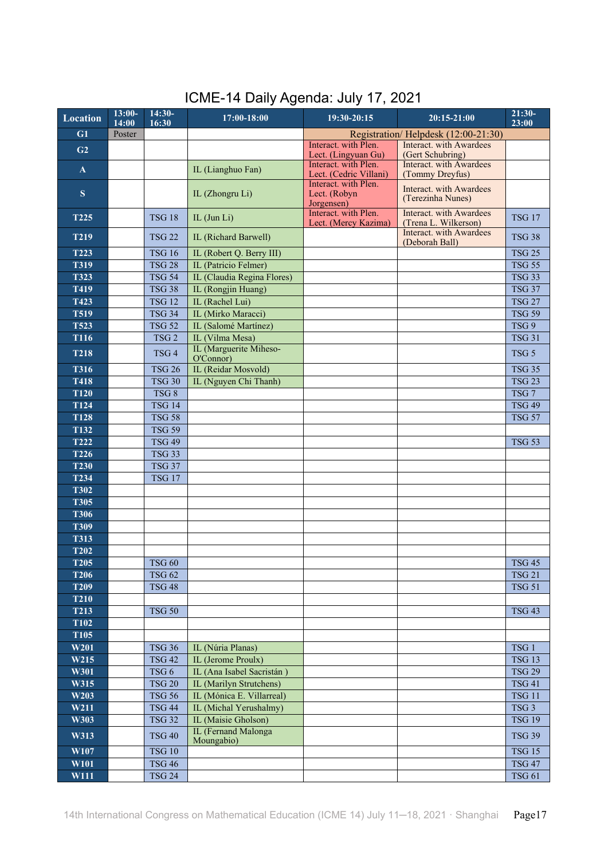| ICME-14 Daily Agenda: July 17, 2021 |  |
|-------------------------------------|--|
|-------------------------------------|--|

| <b>Location</b>            | $13:00-$<br>14:00 | $14:30-$<br>16:30              | 17:00-18:00                               | 19:30-20:15                                        | $20:15 - 21:00$                                        | $21:30-$<br>23:00 |
|----------------------------|-------------------|--------------------------------|-------------------------------------------|----------------------------------------------------|--------------------------------------------------------|-------------------|
| G1                         | Poster            |                                |                                           |                                                    | Registration/Helpdesk (12:00-21:30)                    |                   |
| G2                         |                   |                                |                                           | Interact. with Plen.                               | Interact. with Awardees                                |                   |
|                            |                   |                                |                                           | Lect. (Lingyuan Gu)<br>Interact. with Plen.        | (Gert Schubring)<br>Interact, with Awardees            |                   |
| $\mathbf{A}$               |                   |                                | IL (Lianghuo Fan)                         | Lect. (Cedric Villani)                             | (Tommy Dreyfus)                                        |                   |
| S                          |                   |                                | IL (Zhongru Li)                           | Interact. with Plen.<br>Lect. (Robyn<br>Jorgensen) | <b>Interact.</b> with Awardees<br>(Terezinha Nunes)    |                   |
| <b>T225</b>                |                   | <b>TSG 18</b>                  | IL (Jun Li)                               | Interact. with Plen.<br>Lect. (Mercy Kazima)       | <b>Interact.</b> with Awardees<br>(Trena L. Wilkerson) | <b>TSG 17</b>     |
| <b>T219</b>                |                   | <b>TSG 22</b>                  | IL (Richard Barwell)                      |                                                    | Interact. with Awardees<br>(Deborah Ball)              | <b>TSG 38</b>     |
| T223                       |                   | <b>TSG 16</b>                  | IL (Robert Q. Berry III)                  |                                                    |                                                        | <b>TSG 25</b>     |
| <b>T319</b>                |                   | <b>TSG 28</b>                  | IL (Patricio Felmer)                      |                                                    |                                                        | <b>TSG 55</b>     |
| <b>T323</b>                |                   | <b>TSG 54</b>                  | IL (Claudia Regina Flores)                |                                                    |                                                        | <b>TSG 33</b>     |
| T419                       |                   | <b>TSG 38</b>                  | IL (Rongjin Huang)                        |                                                    |                                                        | <b>TSG 37</b>     |
| T423                       |                   | <b>TSG 12</b>                  | IL (Rachel Lui)                           |                                                    |                                                        | <b>TSG 27</b>     |
| <b>T519</b>                |                   | <b>TSG 34</b>                  | IL (Mirko Maracci)                        |                                                    |                                                        | <b>TSG 59</b>     |
| <b>T523</b>                |                   | <b>TSG 52</b>                  | IL (Salomé Martínez)                      |                                                    |                                                        | TSG 9             |
| T116                       |                   | TSG2                           | IL (Vilma Mesa)<br>IL (Marguerite Miheso- |                                                    |                                                        | <b>TSG 31</b>     |
| <b>T218</b>                |                   | TSG <sub>4</sub>               | O'Connor)                                 |                                                    |                                                        | TSG <sub>5</sub>  |
| <b>T316</b>                |                   | <b>TSG 26</b>                  | IL (Reidar Mosvold)                       |                                                    |                                                        | <b>TSG 35</b>     |
| <b>T418</b>                |                   | <b>TSG 30</b>                  | IL (Nguyen Chi Thanh)                     |                                                    |                                                        | <b>TSG 23</b>     |
| <b>T120</b>                |                   | TSG 8                          |                                           |                                                    |                                                        | TSG <sub>7</sub>  |
| T124                       |                   | <b>TSG 14</b>                  |                                           |                                                    |                                                        | <b>TSG 49</b>     |
| <b>T128</b>                |                   | <b>TSG 58</b>                  |                                           |                                                    |                                                        | <b>TSG 57</b>     |
| T132                       |                   | <b>TSG 59</b>                  |                                           |                                                    |                                                        |                   |
| <b>T222</b><br><b>T226</b> |                   | <b>TSG 49</b><br><b>TSG 33</b> |                                           |                                                    |                                                        | <b>TSG 53</b>     |
| <b>T230</b>                |                   | <b>TSG 37</b>                  |                                           |                                                    |                                                        |                   |
| T234                       |                   | <b>TSG 17</b>                  |                                           |                                                    |                                                        |                   |
| <b>T302</b>                |                   |                                |                                           |                                                    |                                                        |                   |
| <b>T305</b>                |                   |                                |                                           |                                                    |                                                        |                   |
| <b>T306</b>                |                   |                                |                                           |                                                    |                                                        |                   |
| <b>T309</b>                |                   |                                |                                           |                                                    |                                                        |                   |
| <b>T313</b>                |                   |                                |                                           |                                                    |                                                        |                   |
| <b>T202</b>                |                   |                                |                                           |                                                    |                                                        |                   |
| <b>T205</b>                |                   | $\mathrm{TSG}$ 60              |                                           |                                                    |                                                        | <b>TSG 45</b>     |
| <b>T206</b>                |                   | <b>TSG 62</b>                  |                                           |                                                    |                                                        | <b>TSG 21</b>     |
| T <sub>209</sub>           |                   | <b>TSG 48</b>                  |                                           |                                                    |                                                        | <b>TSG 51</b>     |
| <b>T210</b>                |                   |                                |                                           |                                                    |                                                        |                   |
| T213                       |                   | <b>TSG 50</b>                  |                                           |                                                    |                                                        | <b>TSG 43</b>     |
| <b>T102</b>                |                   |                                |                                           |                                                    |                                                        |                   |
| <b>T105</b><br>W201        |                   | <b>TSG 36</b>                  | IL (Núria Planas)                         |                                                    |                                                        | TSG <sub>1</sub>  |
| W215                       |                   | <b>TSG 42</b>                  | IL (Jerome Proulx)                        |                                                    |                                                        | <b>TSG 13</b>     |
| W301                       |                   | TSG <sub>6</sub>               | IL (Ana Isabel Sacristán)                 |                                                    |                                                        | <b>TSG 29</b>     |
| W315                       |                   | <b>TSG 20</b>                  | IL (Marilyn Strutchens)                   |                                                    |                                                        | <b>TSG 41</b>     |
| W203                       |                   | <b>TSG 56</b>                  | IL (Mónica E. Villarreal)                 |                                                    |                                                        | <b>TSG 11</b>     |
| W211                       |                   | <b>TSG 44</b>                  | IL (Michal Yerushalmy)                    |                                                    |                                                        | TSG <sub>3</sub>  |
| W303                       |                   | <b>TSG 32</b>                  | IL (Maisie Gholson)                       |                                                    |                                                        | <b>TSG 19</b>     |
| W313                       |                   | <b>TSG 40</b>                  | IL (Fernand Malonga                       |                                                    |                                                        | <b>TSG 39</b>     |
| W107                       |                   | <b>TSG 10</b>                  | Moungabio)                                |                                                    |                                                        | <b>TSG 15</b>     |
| W101                       |                   | <b>TSG 46</b>                  |                                           |                                                    |                                                        | <b>TSG 47</b>     |
| W111                       |                   | <b>TSG 24</b>                  |                                           |                                                    |                                                        | <b>TSG 61</b>     |